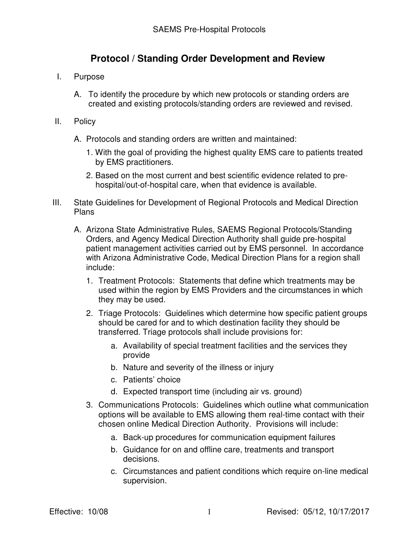## **Protocol / Standing Order Development and Review**

- I. Purpose
	- A. To identify the procedure by which new protocols or standing orders are created and existing protocols/standing orders are reviewed and revised.
- II. Policy
	- A. Protocols and standing orders are written and maintained:
		- 1. With the goal of providing the highest quality EMS care to patients treated by EMS practitioners.
		- 2. Based on the most current and best scientific evidence related to prehospital/out-of-hospital care, when that evidence is available.
- III. State Guidelines for Development of Regional Protocols and Medical Direction Plans
	- A. Arizona State Administrative Rules, SAEMS Regional Protocols/Standing Orders, and Agency Medical Direction Authority shall guide pre-hospital patient management activities carried out by EMS personnel. In accordance with Arizona Administrative Code, Medical Direction Plans for a region shall include:
		- 1. Treatment Protocols: Statements that define which treatments may be used within the region by EMS Providers and the circumstances in which they may be used.
		- 2. Triage Protocols: Guidelines which determine how specific patient groups should be cared for and to which destination facility they should be transferred. Triage protocols shall include provisions for:
			- a. Availability of special treatment facilities and the services they provide
			- b. Nature and severity of the illness or injury
			- c. Patients' choice
			- d. Expected transport time (including air vs. ground)
		- 3. Communications Protocols: Guidelines which outline what communication options will be available to EMS allowing them real-time contact with their chosen online Medical Direction Authority. Provisions will include:
			- a. Back-up procedures for communication equipment failures
			- b. Guidance for on and offline care, treatments and transport decisions.
			- c. Circumstances and patient conditions which require on-line medical supervision.